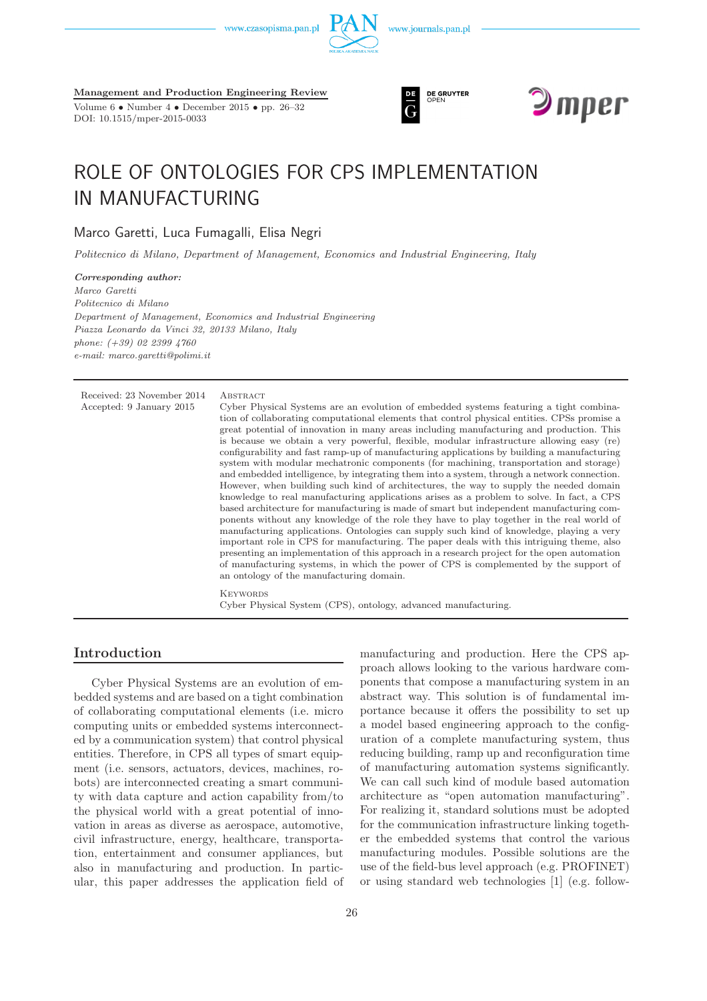



DOI: 10.1515/mper-2015-0033





# ROLE OF ONTOLOGIES FOR CPS IMPLEMENTATION IN MANUFACTURING

Marco Garetti, Luca Fumagalli, Elisa Negri

*Politecnico di Milano, Department of Management, Economics and Industrial Engineering, Italy*

*Corresponding author: Marco Garetti Politecnico di Milano Department of Management, Economics and Industrial Engineering Piazza Leonardo da Vinci 32, 20133 Milano, Italy phone: (+39) 02 2399 4760 e-mail: marco.garetti@polimi.it*

Received: 23 November 2014 ABSTRACT Accepted: 9 January 2015 Cyber Physical Systems are an evolution of embedded systems featuring a tight combination of collaborating computational elements that control physical entities. CPSs promise a great potential of innovation in many areas including manufacturing and production. This is because we obtain a very powerful, flexible, modular infrastructure allowing easy (re) configurability and fast ramp-up of manufacturing applications by building a manufacturing system with modular mechatronic components (for machining, transportation and storage) and embedded intelligence, by integrating them into a system, through a network connection. However, when building such kind of architectures, the way to supply the needed domain knowledge to real manufacturing applications arises as a problem to solve. In fact, a CPS based architecture for manufacturing is made of smart but independent manufacturing components without any knowledge of the role they have to play together in the real world of manufacturing applications. Ontologies can supply such kind of knowledge, playing a very important role in CPS for manufacturing. The paper deals with this intriguing theme, also presenting an implementation of this approach in a research project for the open automation of manufacturing systems, in which the power of CPS is complemented by the support of an ontology of the manufacturing domain. **KEYWORDS** Cyber Physical System (CPS), ontology, advanced manufacturing.

## **Introduction**

Cyber Physical Systems are an evolution of embedded systems and are based on a tight combination of collaborating computational elements (i.e. micro computing units or embedded systems interconnected by a communication system) that control physical entities. Therefore, in CPS all types of smart equipment (i.e. sensors, actuators, devices, machines, robots) are interconnected creating a smart community with data capture and action capability from/to the physical world with a great potential of innovation in areas as diverse as aerospace, automotive, civil infrastructure, energy, healthcare, transportation, entertainment and consumer appliances, but also in manufacturing and production. In particular, this paper addresses the application field of manufacturing and production. Here the CPS approach allows looking to the various hardware components that compose a manufacturing system in an abstract way. This solution is of fundamental importance because it offers the possibility to set up a model based engineering approach to the configuration of a complete manufacturing system, thus reducing building, ramp up and reconfiguration time of manufacturing automation systems significantly. We can call such kind of module based automation architecture as "open automation manufacturing". For realizing it, standard solutions must be adopted for the communication infrastructure linking together the embedded systems that control the various manufacturing modules. Possible solutions are the use of the field-bus level approach (e.g. PROFINET) or using standard web technologies [1] (e.g. follow-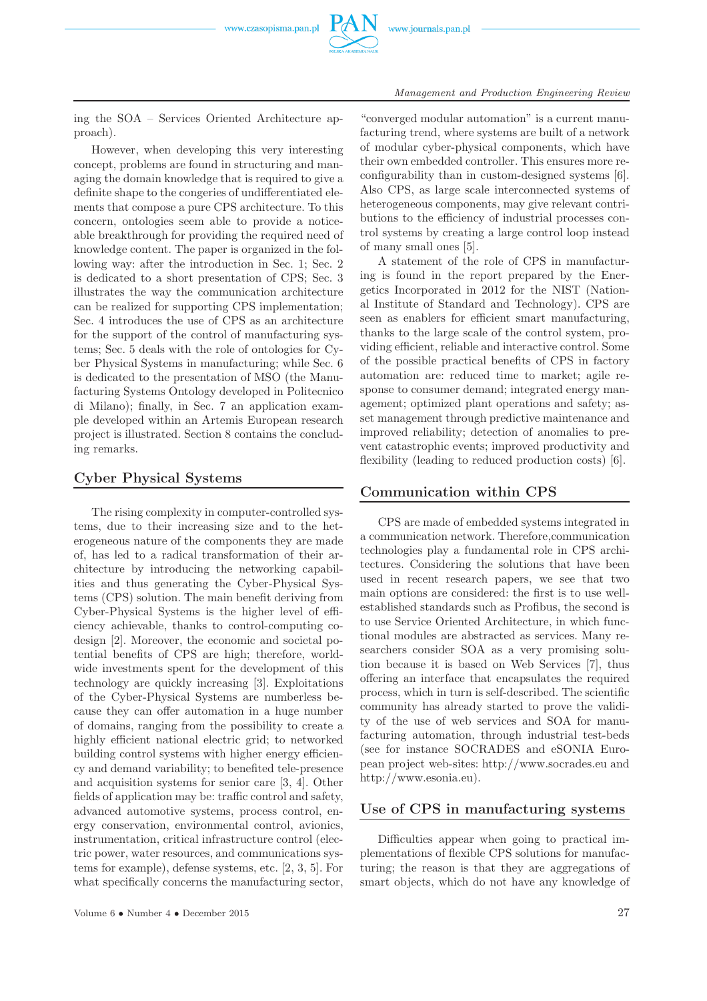

#### *Management and Production Engineering Review*

ing the SOA – Services Oriented Architecture approach).

However, when developing this very interesting concept, problems are found in structuring and managing the domain knowledge that is required to give a definite shape to the congeries of undifferentiated elements that compose a pure CPS architecture. To this concern, ontologies seem able to provide a noticeable breakthrough for providing the required need of knowledge content. The paper is organized in the following way: after the introduction in Sec. 1; Sec. 2 is dedicated to a short presentation of CPS; Sec. 3 illustrates the way the communication architecture can be realized for supporting CPS implementation; Sec. 4 introduces the use of CPS as an architecture for the support of the control of manufacturing systems; Sec. 5 deals with the role of ontologies for Cyber Physical Systems in manufacturing; while Sec. 6 is dedicated to the presentation of MSO (the Manufacturing Systems Ontology developed in Politecnico di Milano); finally, in Sec. 7 an application example developed within an Artemis European research project is illustrated. Section 8 contains the concluding remarks.

## **Cyber Physical Systems**

The rising complexity in computer-controlled systems, due to their increasing size and to the heterogeneous nature of the components they are made of, has led to a radical transformation of their architecture by introducing the networking capabilities and thus generating the Cyber-Physical Systems (CPS) solution. The main benefit deriving from Cyber-Physical Systems is the higher level of efficiency achievable, thanks to control-computing codesign [2]. Moreover, the economic and societal potential benefits of CPS are high; therefore, worldwide investments spent for the development of this technology are quickly increasing [3]. Exploitations of the Cyber-Physical Systems are numberless because they can offer automation in a huge number of domains, ranging from the possibility to create a highly efficient national electric grid; to networked building control systems with higher energy efficiency and demand variability; to benefited tele-presence and acquisition systems for senior care [3, 4]. Other fields of application may be: traffic control and safety, advanced automotive systems, process control, energy conservation, environmental control, avionics, instrumentation, critical infrastructure control (electric power, water resources, and communications systems for example), defense systems, etc. [2, 3, 5]. For what specifically concerns the manufacturing sector,

"converged modular automation" is a current manufacturing trend, where systems are built of a network of modular cyber-physical components, which have their own embedded controller. This ensures more reconfigurability than in custom-designed systems [6]. Also CPS, as large scale interconnected systems of heterogeneous components, may give relevant contributions to the efficiency of industrial processes control systems by creating a large control loop instead of many small ones [5].

A statement of the role of CPS in manufacturing is found in the report prepared by the Energetics Incorporated in 2012 for the NIST (National Institute of Standard and Technology). CPS are seen as enablers for efficient smart manufacturing, thanks to the large scale of the control system, providing efficient, reliable and interactive control. Some of the possible practical benefits of CPS in factory automation are: reduced time to market; agile response to consumer demand; integrated energy management; optimized plant operations and safety; asset management through predictive maintenance and improved reliability; detection of anomalies to prevent catastrophic events; improved productivity and flexibility (leading to reduced production costs) [6].

## **Communication within CPS**

CPS are made of embedded systems integrated in a communication network. Therefore,communication technologies play a fundamental role in CPS architectures. Considering the solutions that have been used in recent research papers, we see that two main options are considered: the first is to use wellestablished standards such as Profibus, the second is to use Service Oriented Architecture, in which functional modules are abstracted as services. Many researchers consider SOA as a very promising solution because it is based on Web Services [7], thus offering an interface that encapsulates the required process, which in turn is self-described. The scientific community has already started to prove the validity of the use of web services and SOA for manufacturing automation, through industrial test-beds (see for instance SOCRADES and eSONIA European project web-sites: http://www.socrades.eu and http://www.esonia.eu).

## **Use of CPS in manufacturing systems**

Difficulties appear when going to practical implementations of flexible CPS solutions for manufacturing; the reason is that they are aggregations of smart objects, which do not have any knowledge of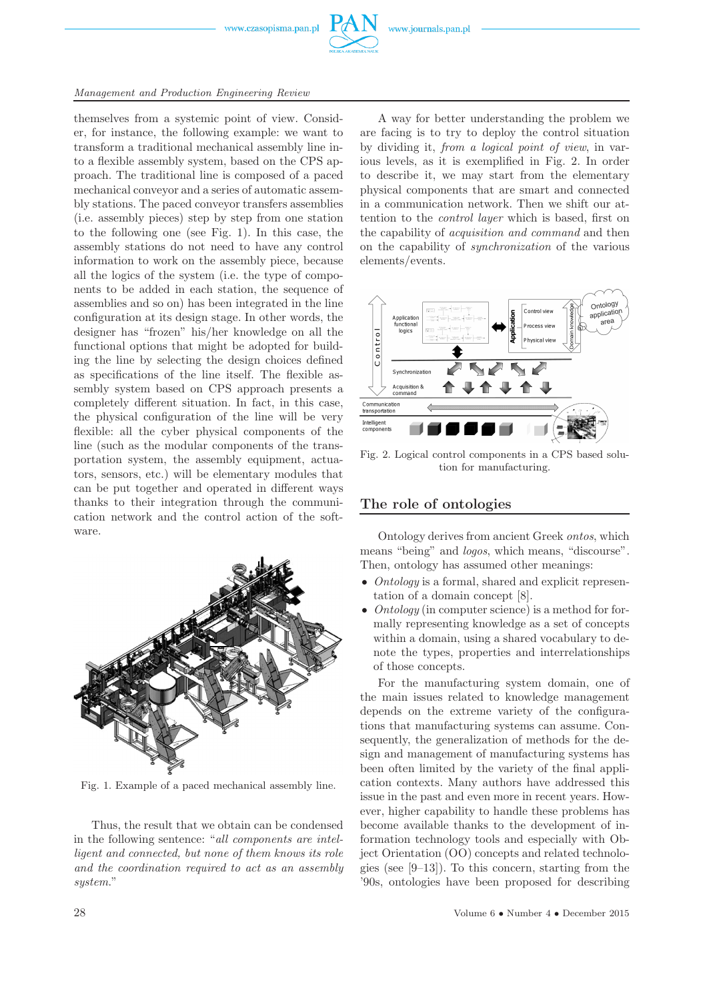

#### *Management and Production Engineering Review*

themselves from a systemic point of view. Consider, for instance, the following example: we want to transform a traditional mechanical assembly line into a flexible assembly system, based on the CPS approach. The traditional line is composed of a paced mechanical conveyor and a series of automatic assembly stations. The paced conveyor transfers assemblies (i.e. assembly pieces) step by step from one station to the following one (see Fig. 1). In this case, the assembly stations do not need to have any control information to work on the assembly piece, because all the logics of the system (i.e. the type of components to be added in each station, the sequence of assemblies and so on) has been integrated in the line configuration at its design stage. In other words, the designer has "frozen" his/her knowledge on all the functional options that might be adopted for building the line by selecting the design choices defined as specifications of the line itself. The flexible assembly system based on CPS approach presents a completely different situation. In fact, in this case, the physical configuration of the line will be very flexible: all the cyber physical components of the line (such as the modular components of the transportation system, the assembly equipment, actuators, sensors, etc.) will be elementary modules that can be put together and operated in different ways thanks to their integration through the communication network and the control action of the software.



Fig. 1. Example of a paced mechanical assembly line.

Thus, the result that we obtain can be condensed in the following sentence: "*all components are intelligent and connected, but none of them knows its role and the coordination required to act as an assembly system*."

A way for better understanding the problem we are facing is to try to deploy the control situation by dividing it, *from a logical point of view*, in various levels, as it is exemplified in Fig. 2. In order to describe it, we may start from the elementary physical components that are smart and connected in a communication network. Then we shift our attention to the *control layer* which is based, first on the capability of *acquisition and command* and then on the capability of *synchronization* of the various elements/events.



Fig. 2. Logical control components in a CPS based solution for manufacturing.

### **The role of ontologies**

Ontology derives from ancient Greek *ontos*, which means "being" and *logos*, which means, "discourse". Then, ontology has assumed other meanings:

- *Ontology* is a formal, shared and explicit representation of a domain concept [8].
- *Ontology* (in computer science) is a method for formally representing knowledge as a set of concepts within a domain, using a shared vocabulary to denote the types, properties and interrelationships of those concepts.

For the manufacturing system domain, one of the main issues related to knowledge management depends on the extreme variety of the configurations that manufacturing systems can assume. Consequently, the generalization of methods for the design and management of manufacturing systems has been often limited by the variety of the final application contexts. Many authors have addressed this issue in the past and even more in recent years. However, higher capability to handle these problems has become available thanks to the development of information technology tools and especially with Object Orientation (OO) concepts and related technologies (see [9–13]). To this concern, starting from the '90s, ontologies have been proposed for describing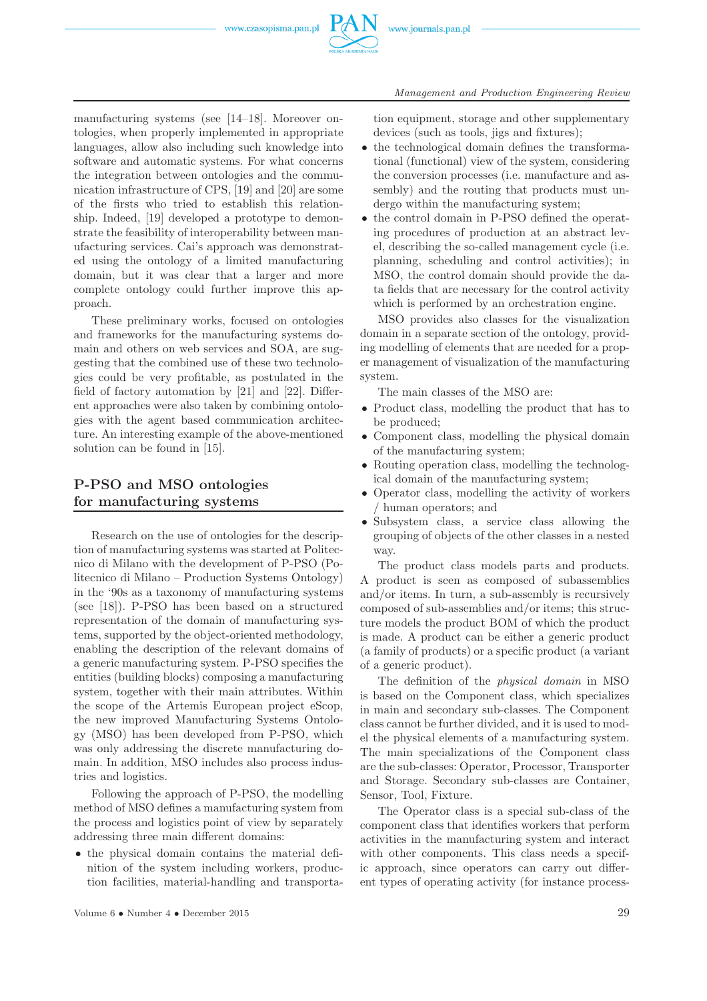

manufacturing systems (see [14–18]. Moreover ontologies, when properly implemented in appropriate languages, allow also including such knowledge into software and automatic systems. For what concerns the integration between ontologies and the communication infrastructure of CPS, [19] and [20] are some of the firsts who tried to establish this relationship. Indeed, [19] developed a prototype to demonstrate the feasibility of interoperability between manufacturing services. Cai's approach was demonstrated using the ontology of a limited manufacturing domain, but it was clear that a larger and more complete ontology could further improve this approach.

These preliminary works, focused on ontologies and frameworks for the manufacturing systems domain and others on web services and SOA, are suggesting that the combined use of these two technologies could be very profitable, as postulated in the field of factory automation by [21] and [22]. Different approaches were also taken by combining ontologies with the agent based communication architecture. An interesting example of the above-mentioned solution can be found in [15].

# **P-PSO and MSO ontologies for manufacturing systems**

Research on the use of ontologies for the description of manufacturing systems was started at Politecnico di Milano with the development of P-PSO (Politecnico di Milano – Production Systems Ontology) in the '90s as a taxonomy of manufacturing systems (see [18]). P-PSO has been based on a structured representation of the domain of manufacturing systems, supported by the object-oriented methodology, enabling the description of the relevant domains of a generic manufacturing system. P-PSO specifies the entities (building blocks) composing a manufacturing system, together with their main attributes. Within the scope of the Artemis European project eScop, the new improved Manufacturing Systems Ontology (MSO) has been developed from P-PSO, which was only addressing the discrete manufacturing domain. In addition, MSO includes also process industries and logistics.

Following the approach of P-PSO, the modelling method of MSO defines a manufacturing system from the process and logistics point of view by separately addressing three main different domains:

• the physical domain contains the material definition of the system including workers, production facilities, material-handling and transporta*Management and Production Engineering Review*

tion equipment, storage and other supplementary devices (such as tools, jigs and fixtures);

- the technological domain defines the transformational (functional) view of the system, considering the conversion processes (i.e. manufacture and assembly) and the routing that products must undergo within the manufacturing system;
- the control domain in P-PSO defined the operating procedures of production at an abstract level, describing the so-called management cycle (i.e. planning, scheduling and control activities); in MSO, the control domain should provide the data fields that are necessary for the control activity which is performed by an orchestration engine.

MSO provides also classes for the visualization domain in a separate section of the ontology, providing modelling of elements that are needed for a proper management of visualization of the manufacturing system.

The main classes of the MSO are:

- Product class, modelling the product that has to be produced;
- Component class, modelling the physical domain of the manufacturing system;
- Routing operation class, modelling the technological domain of the manufacturing system;
- Operator class, modelling the activity of workers / human operators; and
- Subsystem class, a service class allowing the grouping of objects of the other classes in a nested way.

The product class models parts and products. A product is seen as composed of subassemblies and/or items. In turn, a sub-assembly is recursively composed of sub-assemblies and/or items; this structure models the product BOM of which the product is made. A product can be either a generic product (a family of products) or a specific product (a variant of a generic product).

The definition of the *physical domain* in MSO is based on the Component class, which specializes in main and secondary sub-classes. The Component class cannot be further divided, and it is used to model the physical elements of a manufacturing system. The main specializations of the Component class are the sub-classes: Operator, Processor, Transporter and Storage. Secondary sub-classes are Container, Sensor, Tool, Fixture.

The Operator class is a special sub-class of the component class that identifies workers that perform activities in the manufacturing system and interact with other components. This class needs a specific approach, since operators can carry out different types of operating activity (for instance process-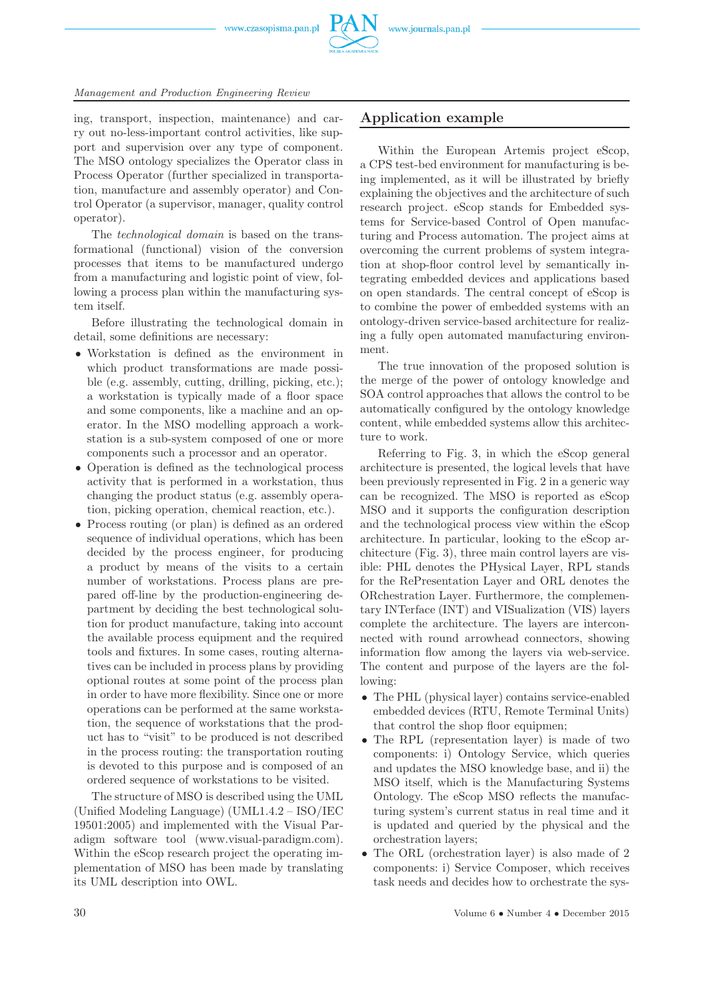

ing, transport, inspection, maintenance) and carry out no-less-important control activities, like support and supervision over any type of component. The MSO ontology specializes the Operator class in Process Operator (further specialized in transportation, manufacture and assembly operator) and Control Operator (a supervisor, manager, quality control operator).

The *technological domain* is based on the transformational (functional) vision of the conversion processes that items to be manufactured undergo from a manufacturing and logistic point of view, following a process plan within the manufacturing system itself.

Before illustrating the technological domain in detail, some definitions are necessary:

- Workstation is defined as the environment in which product transformations are made possible (e.g. assembly, cutting, drilling, picking, etc.); a workstation is typically made of a floor space and some components, like a machine and an operator. In the MSO modelling approach a workstation is a sub-system composed of one or more components such a processor and an operator.
- Operation is defined as the technological process activity that is performed in a workstation, thus changing the product status (e.g. assembly operation, picking operation, chemical reaction, etc.).
- Process routing (or plan) is defined as an ordered sequence of individual operations, which has been decided by the process engineer, for producing a product by means of the visits to a certain number of workstations. Process plans are prepared off-line by the production-engineering department by deciding the best technological solution for product manufacture, taking into account the available process equipment and the required tools and fixtures. In some cases, routing alternatives can be included in process plans by providing optional routes at some point of the process plan in order to have more flexibility. Since one or more operations can be performed at the same workstation, the sequence of workstations that the product has to "visit" to be produced is not described in the process routing: the transportation routing is devoted to this purpose and is composed of an ordered sequence of workstations to be visited.

The structure of MSO is described using the UML (Unified Modeling Language) (UML1.4.2 – ISO/IEC 19501:2005) and implemented with the Visual Paradigm software tool (www.visual-paradigm.com). Within the eScop research project the operating implementation of MSO has been made by translating its UML description into OWL.

## **Application example**

Within the European Artemis project eScop, a CPS test-bed environment for manufacturing is being implemented, as it will be illustrated by briefly explaining the objectives and the architecture of such research project. eScop stands for Embedded systems for Service-based Control of Open manufacturing and Process automation. The project aims at overcoming the current problems of system integration at shop-floor control level by semantically integrating embedded devices and applications based on open standards. The central concept of eScop is to combine the power of embedded systems with an ontology-driven service-based architecture for realizing a fully open automated manufacturing environment.

The true innovation of the proposed solution is the merge of the power of ontology knowledge and SOA control approaches that allows the control to be automatically configured by the ontology knowledge content, while embedded systems allow this architecture to work.

Referring to Fig. 3, in which the eScop general architecture is presented, the logical levels that have been previously represented in Fig. 2 in a generic way can be recognized. The MSO is reported as eScop MSO and it supports the configuration description and the technological process view within the eScop architecture. In particular, looking to the eScop architecture (Fig. 3), three main control layers are visible: PHL denotes the PHysical Layer, RPL stands for the RePresentation Layer and ORL denotes the ORchestration Layer. Furthermore, the complementary INTerface (INT) and VISualization (VIS) layers complete the architecture. The layers are interconnected with round arrowhead connectors, showing information flow among the layers via web-service. The content and purpose of the layers are the following:

- The PHL (physical layer) contains service-enabled embedded devices (RTU, Remote Terminal Units) that control the shop floor equipmen;
- The RPL (representation layer) is made of two components: i) Ontology Service, which queries and updates the MSO knowledge base, and ii) the MSO itself, which is the Manufacturing Systems Ontology. The eScop MSO reflects the manufacturing system's current status in real time and it is updated and queried by the physical and the orchestration layers;
- The ORL (orchestration layer) is also made of 2 components: i) Service Composer, which receives task needs and decides how to orchestrate the sys-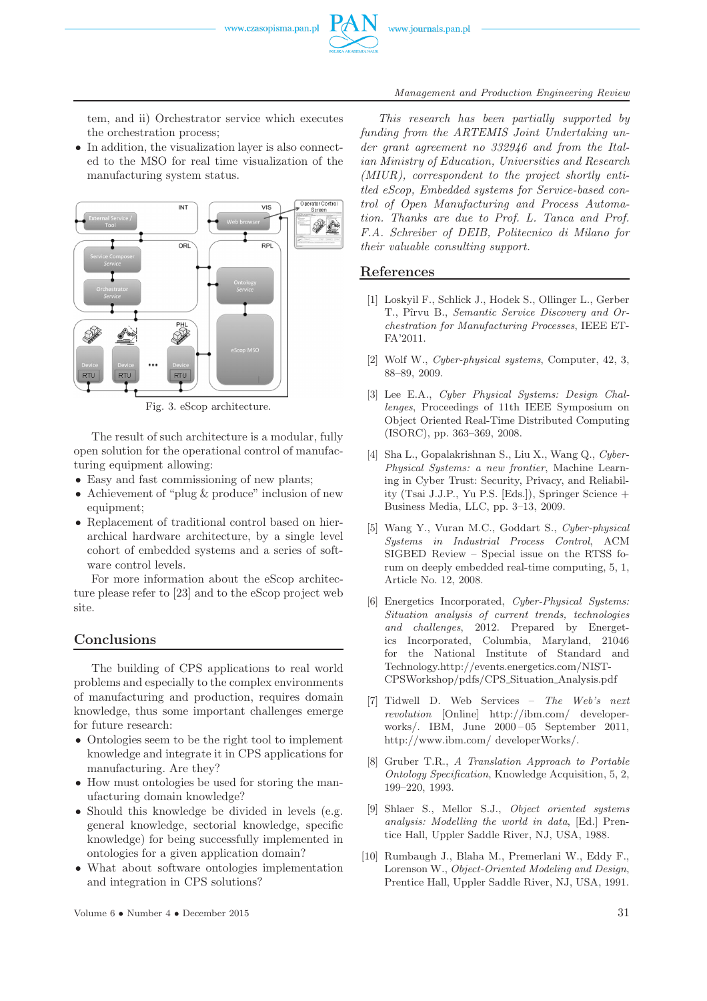



*Management and Production Engineering Review*

tem, and ii) Orchestrator service which executes the orchestration process;

• In addition, the visualization layer is also connected to the MSO for real time visualization of the manufacturing system status.



Fig. 3. eScop architecture.

The result of such architecture is a modular, fully open solution for the operational control of manufacturing equipment allowing:

- Easy and fast commissioning of new plants;
- Achievement of "plug & produce" inclusion of new equipment;
- Replacement of traditional control based on hierarchical hardware architecture, by a single level cohort of embedded systems and a series of software control levels.

For more information about the eScop architecture please refer to [23] and to the eScop project web site.

## **Conclusions**

The building of CPS applications to real world problems and especially to the complex environments of manufacturing and production, requires domain knowledge, thus some important challenges emerge for future research:

- Ontologies seem to be the right tool to implement knowledge and integrate it in CPS applications for manufacturing. Are they?
- How must ontologies be used for storing the manufacturing domain knowledge?
- Should this knowledge be divided in levels (e.g. general knowledge, sectorial knowledge, specific knowledge) for being successfully implemented in ontologies for a given application domain?
- What about software ontologies implementation and integration in CPS solutions?

*This research has been partially supported by funding from the ARTEMIS Joint Undertaking under grant agreement no 332946 and from the Italian Ministry of Education, Universities and Research (MIUR), correspondent to the project shortly entitled eScop, Embedded systems for Service-based control of Open Manufacturing and Process Automation. Thanks are due to Prof. L. Tanca and Prof. F.A. Schreiber of DEIB, Politecnico di Milano for their valuable consulting support.*

#### **References**

- [1] Loskyil F., Schlick J., Hodek S., Ollinger L., Gerber T., Pˆırvu B., *Semantic Service Discovery and Orchestration for Manufacturing Processes*, IEEE ET-FA'2011.
- [2] Wolf W., *Cyber-physical systems*, Computer, 42, 3, 88–89, 2009.
- [3] Lee E.A., *Cyber Physical Systems: Design Challenges*, Proceedings of 11th IEEE Symposium on Object Oriented Real-Time Distributed Computing (ISORC), pp. 363–369, 2008.
- [4] Sha L., Gopalakrishnan S., Liu X., Wang Q., *Cyber-Physical Systems: a new frontier*, Machine Learning in Cyber Trust: Security, Privacy, and Reliability (Tsai J.J.P., Yu P.S. [Eds.]), Springer Science + Business Media, LLC, pp. 3–13, 2009.
- [5] Wang Y., Vuran M.C., Goddart S., *Cyber-physical Systems in Industrial Process Control*, ACM SIGBED Review – Special issue on the RTSS forum on deeply embedded real-time computing, 5, 1, Article No. 12, 2008.
- [6] Energetics Incorporated, *Cyber-Physical Systems: Situation analysis of current trends, technologies and challenges*, 2012. Prepared by Energetics Incorporated, Columbia, Maryland, 21046 for the National Institute of Standard and Technology.http://events.energetics.com/NIST-CPSWorkshop/pdfs/CPS Situation Analysis.pdf
- [7] Tidwell D. Web Services *The Web's next revolution* [Online] http://ibm.com/ developerworks/. IBM, June 2000 – 05 September 2011, http://www.ibm.com/ developerWorks/.
- [8] Gruber T.R., *A Translation Approach to Portable Ontology Specification*, Knowledge Acquisition, 5, 2, 199–220, 1993.
- [9] Shlaer S., Mellor S.J., *Object oriented systems analysis: Modelling the world in data*, [Ed.] Prentice Hall, Uppler Saddle River, NJ, USA, 1988.
- [10] Rumbaugh J., Blaha M., Premerlani W., Eddy F., Lorenson W., *Object-Oriented Modeling and Design*, Prentice Hall, Uppler Saddle River, NJ, USA, 1991.